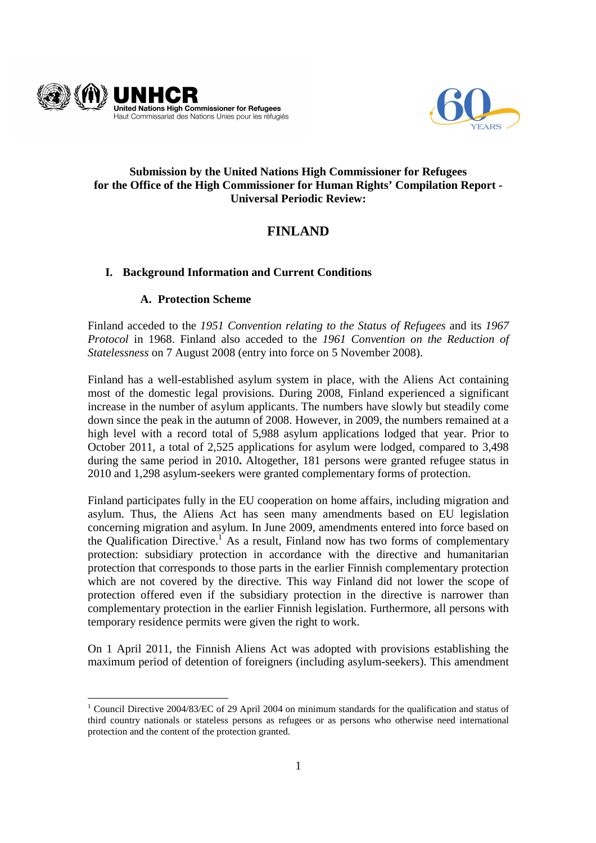



## **Submission by the United Nations High Commissioner for Refugees for the Office of the High Commissioner for Human Rights' Compilation Report - Universal Periodic Review:**

# **FINLAND**

# **I. Background Information and Current Conditions**

## **A. Protection Scheme**

Finland acceded to the *1951 Convention relating to the Status of Refugees* and its *1967 Protocol* in 1968. Finland also acceded to the *1961 Convention on the Reduction of Statelessness* on 7 August 2008 (entry into force on 5 November 2008).

Finland has a well-established asylum system in place, with the Aliens Act containing most of the domestic legal provisions. During 2008, Finland experienced a significant increase in the number of asylum applicants. The numbers have slowly but steadily come down since the peak in the autumn of 2008. However, in 2009, the numbers remained at a high level with a record total of 5,988 asylum applications lodged that year. Prior to October 2011, a total of 2,525 applications for asylum were lodged, compared to 3,498 during the same period in 2010**.** Altogether, 181 persons were granted refugee status in 2010 and 1,298 asylum-seekers were granted complementary forms of protection.

Finland participates fully in the EU cooperation on home affairs, including migration and asylum. Thus, the Aliens Act has seen many amendments based on EU legislation concerning migration and asylum. In June 2009, amendments entered into force based on the Qualification Directive.<sup>1</sup> As a result, Finland now has two forms of complementary protection: subsidiary protection in accordance with the directive and humanitarian protection that corresponds to those parts in the earlier Finnish complementary protection which are not covered by the directive. This way Finland did not lower the scope of protection offered even if the subsidiary protection in the directive is narrower than complementary protection in the earlier Finnish legislation. Furthermore, all persons with temporary residence permits were given the right to work.

On 1 April 2011, the Finnish Aliens Act was adopted with provisions establishing the maximum period of detention of foreigners (including asylum-seekers). This amendment

<sup>-</sup><sup>1</sup> Council Directive 2004/83/EC of 29 April 2004 on minimum standards for the qualification and status of third country nationals or stateless persons as refugees or as persons who otherwise need international protection and the content of the protection granted.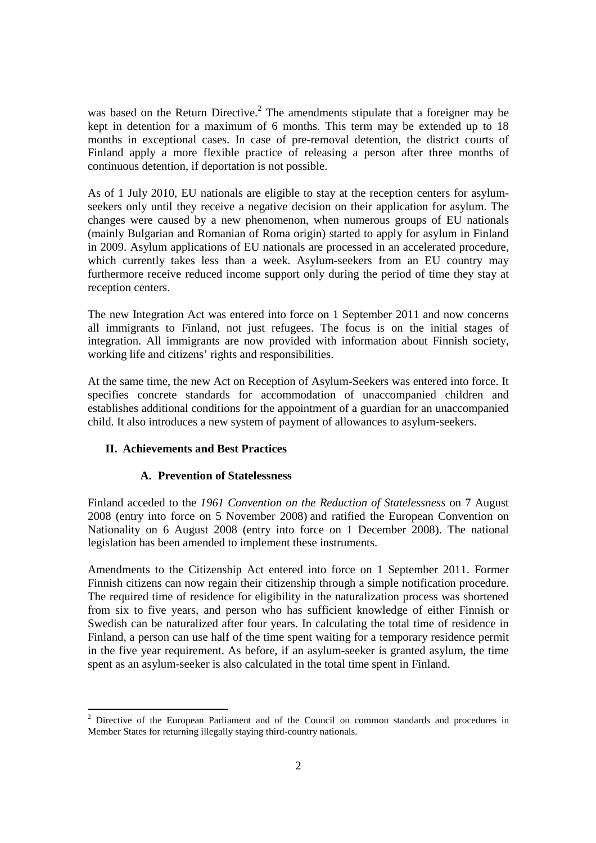was based on the Return Directive.<sup>2</sup> The amendments stipulate that a foreigner may be kept in detention for a maximum of 6 months. This term may be extended up to 18 months in exceptional cases. In case of pre-removal detention, the district courts of Finland apply a more flexible practice of releasing a person after three months of continuous detention, if deportation is not possible.

As of 1 July 2010, EU nationals are eligible to stay at the reception centers for asylumseekers only until they receive a negative decision on their application for asylum. The changes were caused by a new phenomenon, when numerous groups of EU nationals (mainly Bulgarian and Romanian of Roma origin) started to apply for asylum in Finland in 2009. Asylum applications of EU nationals are processed in an accelerated procedure, which currently takes less than a week. Asylum-seekers from an EU country may furthermore receive reduced income support only during the period of time they stay at reception centers.

The new Integration Act was entered into force on 1 September 2011 and now concerns all immigrants to Finland, not just refugees. The focus is on the initial stages of integration. All immigrants are now provided with information about Finnish society, working life and citizens' rights and responsibilities.

At the same time, the new Act on Reception of Asylum-Seekers was entered into force. It specifies concrete standards for accommodation of unaccompanied children and establishes additional conditions for the appointment of a guardian for an unaccompanied child. It also introduces a new system of payment of allowances to asylum-seekers.

## **II. Achievements and Best Practices**

#### **A. Prevention of Statelessness**

Finland acceded to the *1961 Convention on the Reduction of Statelessness* on 7 August 2008 (entry into force on 5 November 2008) and ratified the European Convention on Nationality on 6 August 2008 (entry into force on 1 December 2008). The national legislation has been amended to implement these instruments.

Amendments to the Citizenship Act entered into force on 1 September 2011. Former Finnish citizens can now regain their citizenship through a simple notification procedure. The required time of residence for eligibility in the naturalization process was shortened from six to five years, and person who has sufficient knowledge of either Finnish or Swedish can be naturalized after four years. In calculating the total time of residence in Finland, a person can use half of the time spent waiting for a temporary residence permit in the five year requirement. As before, if an asylum-seeker is granted asylum, the time spent as an asylum-seeker is also calculated in the total time spent in Finland.

<sup>&</sup>lt;sup>2</sup> Directive of the European Parliament and of the Council on common standards and procedures in Member States for returning illegally staying third-country nationals.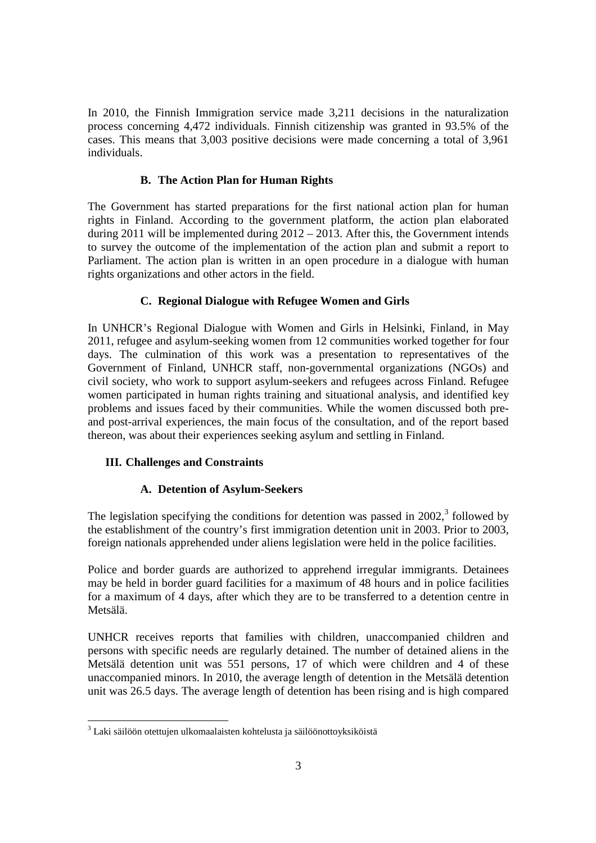In 2010, the Finnish Immigration service made 3,211 decisions in the naturalization process concerning 4,472 individuals. Finnish citizenship was granted in 93.5% of the cases. This means that 3,003 positive decisions were made concerning a total of 3,961 individuals.

#### **B. The Action Plan for Human Rights**

The Government has started preparations for the first national action plan for human rights in Finland. According to the government platform, the action plan elaborated during 2011 will be implemented during 2012 – 2013. After this, the Government intends to survey the outcome of the implementation of the action plan and submit a report to Parliament. The action plan is written in an open procedure in a dialogue with human rights organizations and other actors in the field.

#### **C. Regional Dialogue with Refugee Women and Girls**

In UNHCR's Regional Dialogue with Women and Girls in Helsinki, Finland, in May 2011, refugee and asylum-seeking women from 12 communities worked together for four days. The culmination of this work was a presentation to representatives of the Government of Finland, UNHCR staff, non-governmental organizations (NGOs) and civil society, who work to support asylum-seekers and refugees across Finland. Refugee women participated in human rights training and situational analysis, and identified key problems and issues faced by their communities. While the women discussed both preand post-arrival experiences, the main focus of the consultation, and of the report based thereon, was about their experiences seeking asylum and settling in Finland.

## **III. Challenges and Constraints**

#### **A. Detention of Asylum-Seekers**

The legislation specifying the conditions for detention was passed in  $2002$ ,<sup>3</sup> followed by the establishment of the country's first immigration detention unit in 2003. Prior to 2003, foreign nationals apprehended under aliens legislation were held in the police facilities.

Police and border guards are authorized to apprehend irregular immigrants. Detainees may be held in border guard facilities for a maximum of 48 hours and in police facilities for a maximum of 4 days, after which they are to be transferred to a detention centre in Metsälä.

UNHCR receives reports that families with children, unaccompanied children and persons with specific needs are regularly detained. The number of detained aliens in the Metsälä detention unit was 551 persons, 17 of which were children and 4 of these unaccompanied minors. In 2010, the average length of detention in the Metsälä detention unit was 26.5 days. The average length of detention has been rising and is high compared

<sup>–&</sup>lt;br><sup>3</sup> Laki säilöön otettujen ulkomaalaisten kohtelusta ja säilöönottoyksiköistä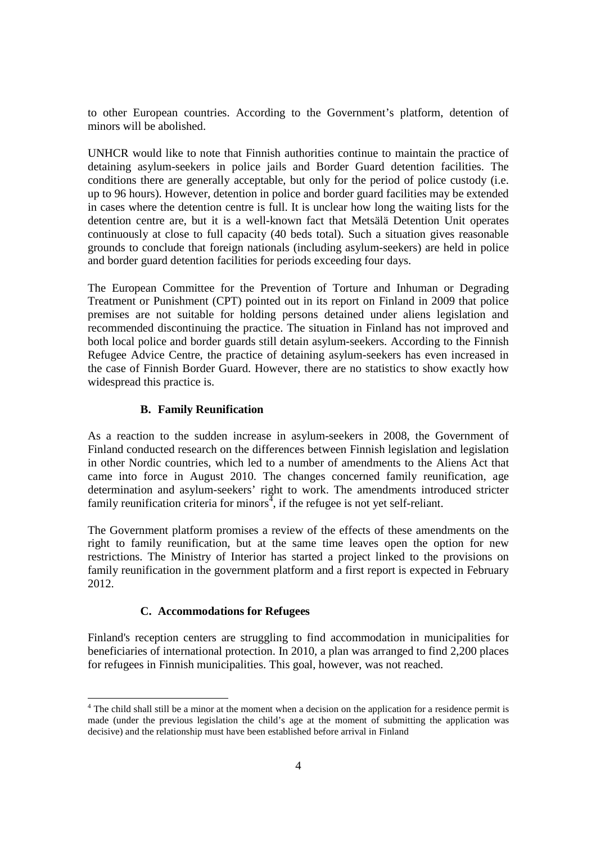to other European countries. According to the Government's platform, detention of minors will be abolished.

UNHCR would like to note that Finnish authorities continue to maintain the practice of detaining asylum-seekers in police jails and Border Guard detention facilities. The conditions there are generally acceptable, but only for the period of police custody (i.e. up to 96 hours). However, detention in police and border guard facilities may be extended in cases where the detention centre is full. It is unclear how long the waiting lists for the detention centre are, but it is a well-known fact that Metsälä Detention Unit operates continuously at close to full capacity (40 beds total). Such a situation gives reasonable grounds to conclude that foreign nationals (including asylum-seekers) are held in police and border guard detention facilities for periods exceeding four days.

The European Committee for the Prevention of Torture and Inhuman or Degrading Treatment or Punishment (CPT) pointed out in its report on Finland in 2009 that police premises are not suitable for holding persons detained under aliens legislation and recommended discontinuing the practice. The situation in Finland has not improved and both local police and border guards still detain asylum-seekers. According to the Finnish Refugee Advice Centre, the practice of detaining asylum-seekers has even increased in the case of Finnish Border Guard. However, there are no statistics to show exactly how widespread this practice is.

## **B. Family Reunification**

As a reaction to the sudden increase in asylum-seekers in 2008, the Government of Finland conducted research on the differences between Finnish legislation and legislation in other Nordic countries, which led to a number of amendments to the Aliens Act that came into force in August 2010. The changes concerned family reunification, age determination and asylum-seekers' right to work. The amendments introduced stricter family reunification criteria for minors $\frac{4}{3}$ , if the refugee is not yet self-reliant.

The Government platform promises a review of the effects of these amendments on the right to family reunification, but at the same time leaves open the option for new restrictions. The Ministry of Interior has started a project linked to the provisions on family reunification in the government platform and a first report is expected in February 2012.

## **C. Accommodations for Refugees**

Finland's reception centers are struggling to find accommodation in municipalities for beneficiaries of international protection. In 2010, a plan was arranged to find 2,200 places for refugees in Finnish municipalities. This goal, however, was not reached.

The child shall still be a minor at the moment when a decision on the application for a residence permit is made (under the previous legislation the child's age at the moment of submitting the application was decisive) and the relationship must have been established before arrival in Finland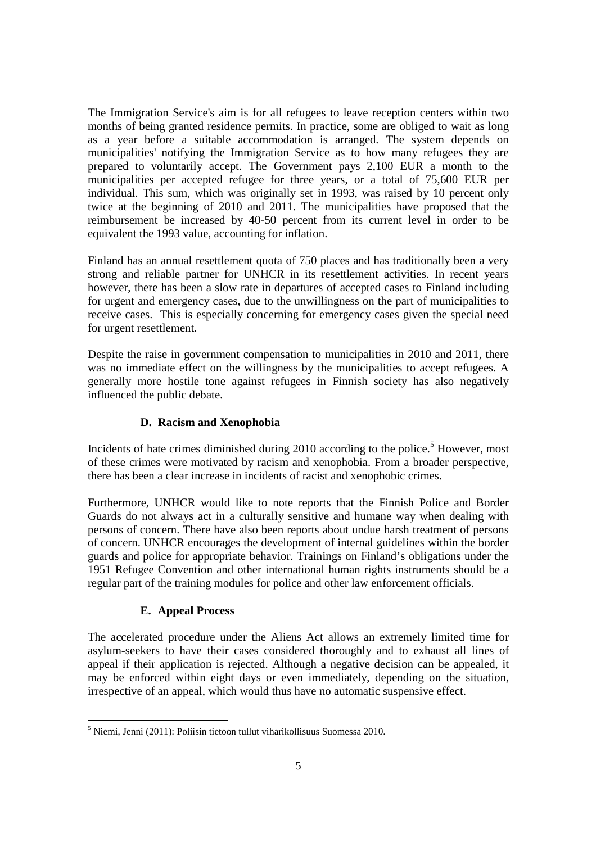The Immigration Service's aim is for all refugees to leave reception centers within two months of being granted residence permits. In practice, some are obliged to wait as long as a year before a suitable accommodation is arranged. The system depends on municipalities' notifying the Immigration Service as to how many refugees they are prepared to voluntarily accept. The Government pays 2,100 EUR a month to the municipalities per accepted refugee for three years, or a total of 75,600 EUR per individual. This sum, which was originally set in 1993, was raised by 10 percent only twice at the beginning of 2010 and 2011. The municipalities have proposed that the reimbursement be increased by 40-50 percent from its current level in order to be equivalent the 1993 value, accounting for inflation.

Finland has an annual resettlement quota of 750 places and has traditionally been a very strong and reliable partner for UNHCR in its resettlement activities. In recent years however, there has been a slow rate in departures of accepted cases to Finland including for urgent and emergency cases, due to the unwillingness on the part of municipalities to receive cases. This is especially concerning for emergency cases given the special need for urgent resettlement.

Despite the raise in government compensation to municipalities in 2010 and 2011, there was no immediate effect on the willingness by the municipalities to accept refugees. A generally more hostile tone against refugees in Finnish society has also negatively influenced the public debate.

## **D. Racism and Xenophobia**

Incidents of hate crimes diminished during  $2010$  according to the police.<sup>5</sup> However, most of these crimes were motivated by racism and xenophobia. From a broader perspective, there has been a clear increase in incidents of racist and xenophobic crimes.

Furthermore, UNHCR would like to note reports that the Finnish Police and Border Guards do not always act in a culturally sensitive and humane way when dealing with persons of concern. There have also been reports about undue harsh treatment of persons of concern. UNHCR encourages the development of internal guidelines within the border guards and police for appropriate behavior. Trainings on Finland's obligations under the 1951 Refugee Convention and other international human rights instruments should be a regular part of the training modules for police and other law enforcement officials.

# **E. Appeal Process**

The accelerated procedure under the Aliens Act allows an extremely limited time for asylum-seekers to have their cases considered thoroughly and to exhaust all lines of appeal if their application is rejected. Although a negative decision can be appealed, it may be enforced within eight days or even immediately, depending on the situation, irrespective of an appeal, which would thus have no automatic suspensive effect.

 5 Niemi, Jenni (2011): Poliisin tietoon tullut viharikollisuus Suomessa 2010.